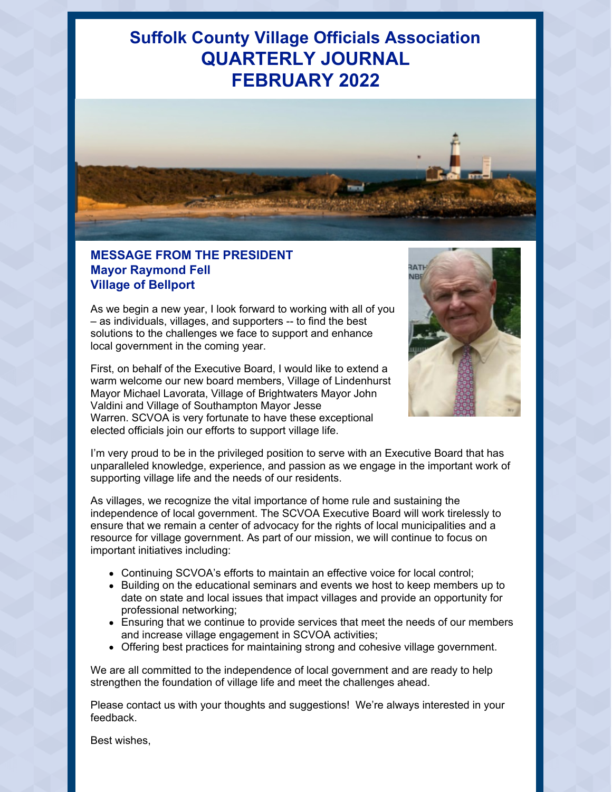# **Suffolk County Village Officials Association QUARTERLY JOURNAL FEBRUARY 2022**



## **MESSAGE FROM THE PRESIDENT Mayor Raymond Fell Village of Bellport**

As we begin a new year, I look forward to working with all of you – as individuals, villages, and supporters -- to find the best solutions to the challenges we face to support and enhance local government in the coming year.

First, on behalf of the Executive Board, I would like to extend a warm welcome our new board members, Village of Lindenhurst Mayor Michael Lavorata, Village of Brightwaters Mayor John Valdini and Village of Southampton Mayor Jesse Warren. SCVOA is very fortunate to have these exceptional elected officials join our efforts to support village life.



I'm very proud to be in the privileged position to serve with an Executive Board that has unparalleled knowledge, experience, and passion as we engage in the important work of supporting village life and the needs of our residents.

As villages, we recognize the vital importance of home rule and sustaining the independence of local government. The SCVOA Executive Board will work tirelessly to ensure that we remain a center of advocacy for the rights of local municipalities and a resource for village government. As part of our mission, we will continue to focus on important initiatives including:

- Continuing SCVOA's efforts to maintain an effective voice for local control;
- Building on the educational seminars and events we host to keep members up to date on state and local issues that impact villages and provide an opportunity for professional networking;
- Ensuring that we continue to provide services that meet the needs of our members and increase village engagement in SCVOA activities;
- Offering best practices for maintaining strong and cohesive village government.

We are all committed to the independence of local government and are ready to help strengthen the foundation of village life and meet the challenges ahead.

Please contact us with your thoughts and suggestions! We're always interested in your feedback.

Best wishes,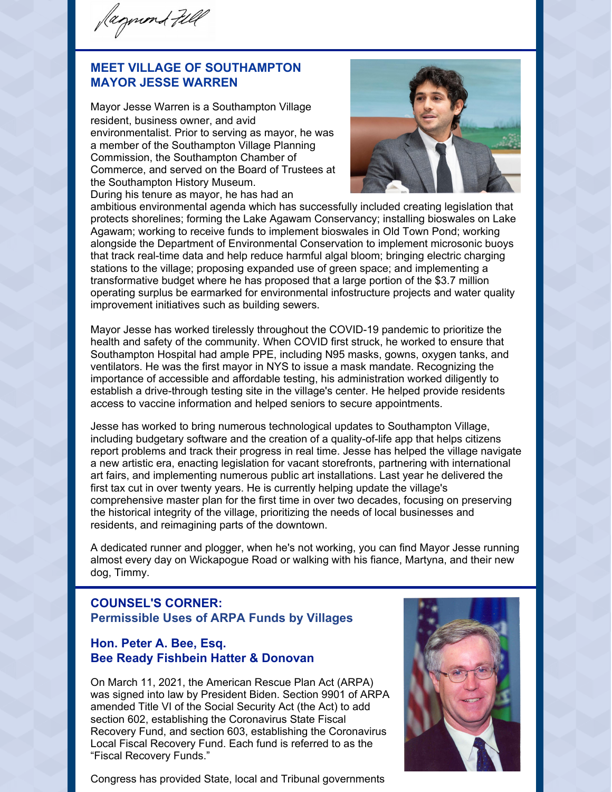Jagmond Fell

## **MEET VILLAGE OF SOUTHAMPTON MAYOR JESSE WARREN**

Mayor Jesse Warren is a Southampton Village resident, business owner, and avid environmentalist. Prior to serving as mayor, he was a member of the Southampton Village Planning Commission, the Southampton Chamber of Commerce, and served on the Board of Trustees at the Southampton History Museum. During his tenure as mayor, he has had an



ambitious environmental agenda which has successfully included creating legislation that protects shorelines; forming the Lake Agawam Conservancy; installing bioswales on Lake Agawam; working to receive funds to implement bioswales in Old Town Pond; working alongside the Department of Environmental Conservation to implement microsonic buoys that track real-time data and help reduce harmful algal bloom; bringing electric charging stations to the village; proposing expanded use of green space; and implementing a transformative budget where he has proposed that a large portion of the \$3.7 million operating surplus be earmarked for environmental infostructure projects and water quality improvement initiatives such as building sewers.

Mayor Jesse has worked tirelessly throughout the COVID-19 pandemic to prioritize the health and safety of the community. When COVID first struck, he worked to ensure that Southampton Hospital had ample PPE, including N95 masks, gowns, oxygen tanks, and ventilators. He was the first mayor in NYS to issue a mask mandate. Recognizing the importance of accessible and affordable testing, his administration worked diligently to establish a drive-through testing site in the village's center. He helped provide residents access to vaccine information and helped seniors to secure appointments.

Jesse has worked to bring numerous technological updates to Southampton Village, including budgetary software and the creation of a quality-of-life app that helps citizens report problems and track their progress in real time. Jesse has helped the village navigate a new artistic era, enacting legislation for vacant storefronts, partnering with international art fairs, and implementing numerous public art installations. Last year he delivered the first tax cut in over twenty years. He is currently helping update the village's comprehensive master plan for the first time in over two decades, focusing on preserving the historical integrity of the village, prioritizing the needs of local businesses and residents, and reimagining parts of the downtown.

A dedicated runner and plogger, when he's not working, you can find Mayor Jesse running almost every day on Wickapogue Road or walking with his fiance, Martyna, and their new dog, Timmy.

## **COUNSEL'S CORNER: Permissible Uses of ARPA Funds by Villages**

## **Hon. Peter A. Bee, Esq. Bee Ready Fishbein Hatter & Donovan**

On March 11, 2021, the American Rescue Plan Act (ARPA) was signed into law by President Biden. Section 9901 of ARPA amended Title VI of the Social Security Act (the Act) to add section 602, establishing the Coronavirus State Fiscal Recovery Fund, and section 603, establishing the Coronavirus Local Fiscal Recovery Fund. Each fund is referred to as the "Fiscal Recovery Funds."



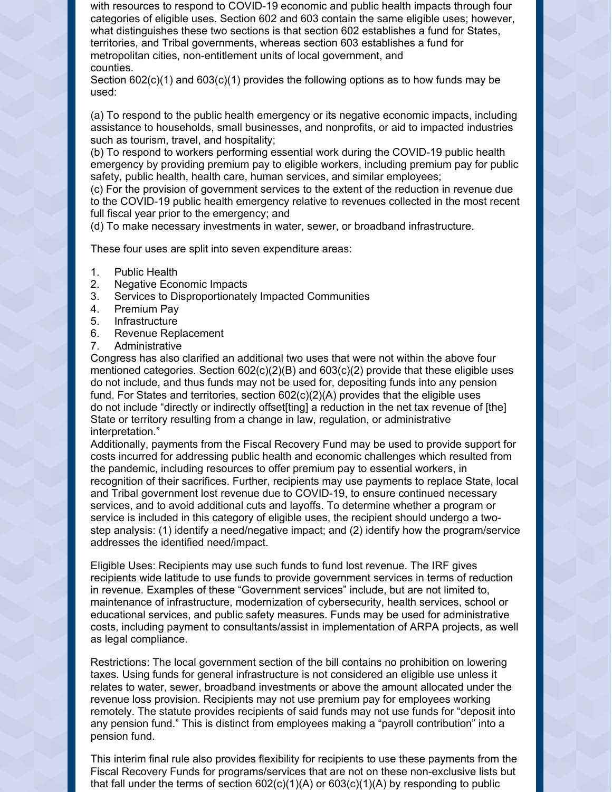with resources to respond to COVID-19 economic and public health impacts through four categories of eligible uses. Section 602 and 603 contain the same eligible uses; however, what distinguishes these two sections is that section 602 establishes a fund for States, territories, and Tribal governments, whereas section 603 establishes a fund for metropolitan cities, non-entitlement units of local government, and counties.

Section  $602(c)(1)$  and  $603(c)(1)$  provides the following options as to how funds may be used:

(a) To respond to the public health emergency or its negative economic impacts, including assistance to households, small businesses, and nonprofits, or aid to impacted industries such as tourism, travel, and hospitality;

(b) To respond to workers performing essential work during the COVID-19 public health emergency by providing premium pay to eligible workers, including premium pay for public safety, public health, health care, human services, and similar employees;

(c) For the provision of government services to the extent of the reduction in revenue due to the COVID-19 public health emergency relative to revenues collected in the most recent full fiscal year prior to the emergency; and

(d) To make necessary investments in water, sewer, or broadband infrastructure.

These four uses are split into seven expenditure areas:

- 1. Public Health
- 2. Negative Economic Impacts
- 3. Services to Disproportionately Impacted Communities
- 4. Premium Pay
- 5. Infrastructure
- 6. Revenue Replacement
- 7. Administrative

Congress has also clarified an additional two uses that were not within the above four mentioned categories. Section  $602(c)(2)(B)$  and  $603(c)(2)$  provide that these eligible uses do not include, and thus funds may not be used for, depositing funds into any pension fund. For States and territories, section  $602(c)(2)(A)$  provides that the eligible uses do not include "directly or indirectly offset[ting] a reduction in the net tax revenue of [the] State or territory resulting from a change in law, regulation, or administrative interpretation."

Additionally, payments from the Fiscal Recovery Fund may be used to provide support for costs incurred for addressing public health and economic challenges which resulted from the pandemic, including resources to offer premium pay to essential workers, in recognition of their sacrifices. Further, recipients may use payments to replace State, local and Tribal government lost revenue due to COVID-19, to ensure continued necessary services, and to avoid additional cuts and layoffs. To determine whether a program or service is included in this category of eligible uses, the recipient should undergo a twostep analysis: (1) identify a need/negative impact; and (2) identify how the program/service addresses the identified need/impact.

Eligible Uses: Recipients may use such funds to fund lost revenue. The IRF gives recipients wide latitude to use funds to provide government services in terms of reduction in revenue. Examples of these "Government services" include, but are not limited to, maintenance of infrastructure, modernization of cybersecurity, health services, school or educational services, and public safety measures. Funds may be used for administrative costs, including payment to consultants/assist in implementation of ARPA projects, as well as legal compliance.

Restrictions: The local government section of the bill contains no prohibition on lowering taxes. Using funds for general infrastructure is not considered an eligible use unless it relates to water, sewer, broadband investments or above the amount allocated under the revenue loss provision. Recipients may not use premium pay for employees working remotely. The statute provides recipients of said funds may not use funds for "deposit into any pension fund." This is distinct from employees making a "payroll contribution" into a pension fund.

This interim final rule also provides flexibility for recipients to use these payments from the Fiscal Recovery Funds for programs/services that are not on these non-exclusive lists but that fall under the terms of section  $602(c)(1)(A)$  or  $603(c)(1)(A)$  by responding to public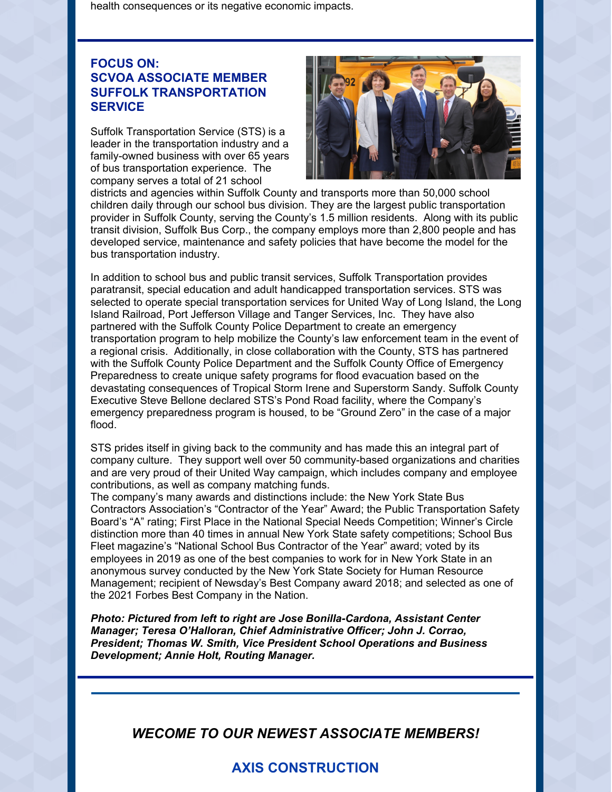health consequences or its negative economic impacts.

## **FOCUS ON: SCVOA ASSOCIATE MEMBER SUFFOLK TRANSPORTATION SERVICE**

Suffolk Transportation Service (STS) is a leader in the transportation industry and a family-owned business with over 65 years of bus transportation experience. The company serves a total of 21 school



districts and agencies within Suffolk County and transports more than 50,000 school children daily through our school bus division. They are the largest public transportation provider in Suffolk County, serving the County's 1.5 million residents. Along with its public transit division, Suffolk Bus Corp., the company employs more than 2,800 people and has developed service, maintenance and safety policies that have become the model for the bus transportation industry.

In addition to school bus and public transit services, Suffolk Transportation provides paratransit, special education and adult handicapped transportation services. STS was selected to operate special transportation services for United Way of Long Island, the Long Island Railroad, Port Jefferson Village and Tanger Services, Inc. They have also partnered with the Suffolk County Police Department to create an emergency transportation program to help mobilize the County's law enforcement team in the event of a regional crisis. Additionally, in close collaboration with the County, STS has partnered with the Suffolk County Police Department and the Suffolk County Office of Emergency Preparedness to create unique safety programs for flood evacuation based on the devastating consequences of Tropical Storm Irene and Superstorm Sandy. Suffolk County Executive Steve Bellone declared STS's Pond Road facility, where the Company's emergency preparedness program is housed, to be "Ground Zero" in the case of a major flood.

STS prides itself in giving back to the community and has made this an integral part of company culture. They support well over 50 community-based organizations and charities and are very proud of their United Way campaign, which includes company and employee contributions, as well as company matching funds.

The company's many awards and distinctions include: the New York State Bus Contractors Association's "Contractor of the Year" Award; the Public Transportation Safety Board's "A" rating; First Place in the National Special Needs Competition; Winner's Circle distinction more than 40 times in annual New York State safety competitions; School Bus Fleet magazine's "National School Bus Contractor of the Year" award; voted by its employees in 2019 as one of the best companies to work for in New York State in an anonymous survey conducted by the New York State Society for Human Resource Management; recipient of Newsday's Best Company award 2018; and selected as one of the 2021 Forbes Best Company in the Nation.

*Photo: Pictured from left to right are Jose Bonilla-Cardona, Assistant Center Manager; Teresa O'Halloran, Chief Administrative Officer; John J. Corrao, President; Thomas W. Smith, Vice President School Operations and Business Development; Annie Holt, Routing Manager.*

*WECOME TO OUR NEWEST ASSOCIATE MEMBERS!*

## **AXIS CONSTRUCTION**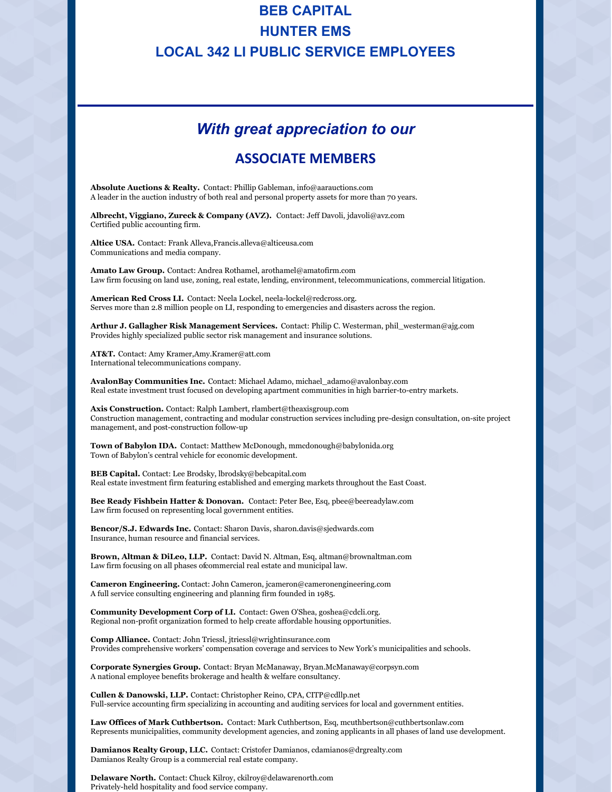## **BEB CAPITAL HUNTER EMS LOCAL 342 LI PUBLIC SERVICE EMPLOYEES**

## *With great appreciation to our*

## **ASSOCIATE MEMBERS**

**Absolute Auctions & Realty.** Contact: Phillip Gableman, info@aarauctions.com A leader in the auction industry of both real and personal property assets for more than 70 years.

**Albrecht, Viggiano, Zureck & Company (AVZ).** Contact: Jeff Davoli, jdavoli@avz.com Certified public accounting firm.

**Altice USA.** Contact: Frank Alleva,Francis.alleva@alticeusa.com Communications and media company.

**Amato Law Group.** Contact: Andrea Rothamel, arothamel@amatofirm.com Law firm focusing on land use, zoning, real estate, lending, environment, telecommunications, commercial litigation.

**American Red Cross LI.** Contact: Neela Lockel, neela-lockel@redcross.org. Serves more than 2.8 million people on LI, responding to emergencies and disasters across the region.

**Arthur J. Gallagher Risk Management Services.** Contact: Philip C. Westerman, phil\_westerman@ajg.com Provides highly specialized public sector risk management and insurance solutions.

**AT&T.** Contact: Amy Kramer,Amy.Kramer@att.com International telecommunications company.

**AvalonBay Communities Inc.** Contact: Michael Adamo, michael\_adamo@avalonbay.com Real estate investment trust focused on developing apartment communities in high barrier-to-entry markets.

**Axis Construction.** Contact: Ralph Lambert, rlambert@theaxisgroup.com Construction management, contracting and modular construction services including pre-design consultation, on-site project management, and post-construction follow-up

**Town of Babylon IDA.** Contact: Matthew McDonough, mmcdonough@babylonida.org Town of Babylon's central vehicle for economic development.

**BEB Capital.** Contact: Lee Brodsky, lbrodsky@bebcapital.com Real estate investment firm featuring established and emerging markets throughout the East Coast.

**Bee Ready Fishbein Hatter & Donovan.** Contact: Peter Bee, Esq, pbee@beereadylaw.com Law firm focused on representing local government entities.

**Bencor/S.J. Edwards Inc.** Contact: Sharon Davis, sharon.davis@sjedwards.com Insurance, human resource and financial services.

**Brown, Altman & DiLeo, LLP.** Contact: David N. Altman, Esq, altman@brownaltman.com Law firm focusing on all phases ofcommercial real estate and municipal law.

**Cameron Engineering.** Contact: John Cameron, jcameron@cameronengineering.com A full service consulting engineering and planning firm founded in 1985.

**Community Development Corp of LI.** Contact: Gwen O'Shea, goshea@cdcli.org. Regional non-profit organization formed to help create affordable housing opportunities.

**Comp Alliance.** Contact: John Triessl, jtriessl@wrightinsurance.com Provides comprehensive workers' compensation coverage and services to New York's municipalities and schools.

**Corporate Synergies Group.** Contact: Bryan McManaway, Bryan.McManaway@corpsyn.com A national employee benefits brokerage and health & welfare consultancy.

**Cullen & Danowski, LLP.** Contact: Christopher Reino, CPA, CITP@cdllp.net Full-service accounting firm specializing in accounting and auditing services for local and government entities.

**Law Offices of Mark Cuthbertson.** Contact: Mark Cuthbertson, Esq, mcuthbertson@cuthbertsonlaw.com Represents municipalities, community development agencies, and zoning applicants in all phases of land use development.

**Damianos Realty Group, LLC.** Contact: Cristofer Damianos, cdamianos@drgrealty.com Damianos Realty Group is a commercial real estate company.

**Delaware North.** Contact: Chuck Kilroy, ckilroy@delawarenorth.com Privately-held hospitality and food service company.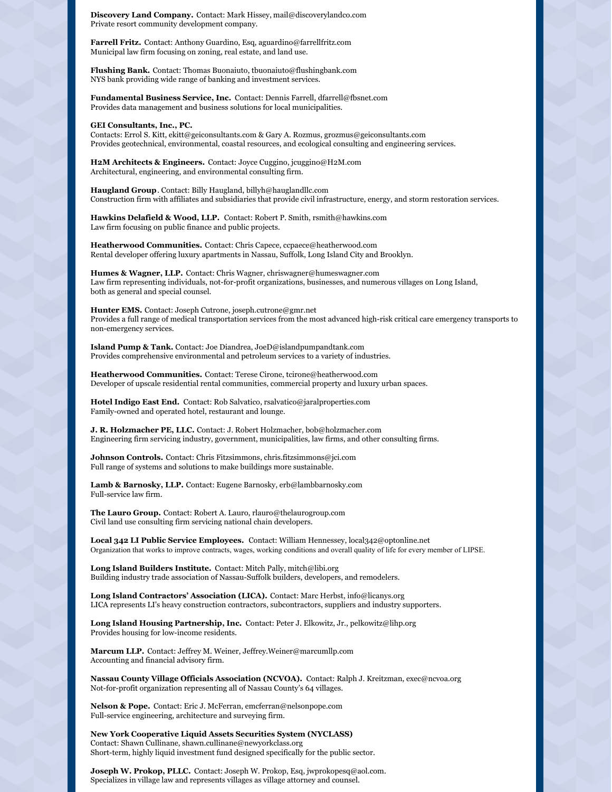**Discovery Land Company.** Contact: Mark Hissey, mail@discoverylandco.com Private resort community development company.

**Farrell Fritz.** Contact: Anthony Guardino, Esq, aguardino@farrellfritz.com Municipal law firm focusing on zoning, real estate, and land use.

**Flushing Bank.** Contact: Thomas Buonaiuto, tbuonaiuto@flushingbank.com NYS bank providing wide range of banking and investment services.

**Fundamental Business Service, Inc.** Contact: Dennis Farrell, dfarrell@fbsnet.com Provides data management and business solutions for local municipalities.

#### **GEI Consultants, Inc., PC.**

Contacts: Errol S. Kitt, ekitt@geiconsultants.com & Gary A. Rozmus, grozmus@geiconsultants.com Provides geotechnical, environmental, coastal resources, and ecological consulting and engineering services.

**H2M Architects & Engineers.** Contact: Joyce Cuggino, jcuggino@H2M.com Architectural, engineering, and environmental consulting firm.

**Haugland Group**. Contact: Billy Haugland, billyh@hauglandllc.com Construction firm with affiliates and subsidiaries that provide civil infrastructure, energy, and storm restoration services.

**Hawkins Delafield & Wood, LLP.** Contact: Robert P. Smith, rsmith@hawkins.com Law firm focusing on public finance and public projects.

**Heatherwood Communities.** Contact: Chris Capece, ccpaece@heatherwood.com Rental developer offering luxury apartments in Nassau, Suffolk, Long Island City and Brooklyn.

**Humes & Wagner, LLP.** Contact: Chris Wagner, chriswagner@humeswagner.com Law firm representing individuals, not-for-profit organizations, businesses, and numerous villages on Long Island, both as general and special counsel.

**Hunter EMS.** Contact: Joseph Cutrone, joseph.cutrone@gmr.net Provides a full range of medical transportation services from the most advanced high-risk critical care emergency transports to non-emergency services.

**Island Pump & Tank.** Contact: Joe Diandrea, JoeD@islandpumpandtank.com Provides comprehensive environmental and petroleum services to a variety of industries.

**Heatherwood Communities.** Contact: Terese Cirone, tcirone@heatherwood.com Developer of upscale residential rental communities, commercial property and luxury urban spaces.

**Hotel Indigo East End.** Contact: Rob Salvatico, rsalvatico@jaralproperties.com Family-owned and operated hotel, restaurant and lounge.

**J. R. Holzmacher PE, LLC.** Contact: J. Robert Holzmacher, bob@holzmacher.com Engineering firm servicing industry, government, municipalities, law firms, and other consulting firms.

**Johnson Controls.** Contact: Chris Fitzsimmons, chris.fitzsimmons@jci.com Full range of systems and solutions to make buildings more sustainable.

**Lamb & Barnosky, LLP.** Contact: Eugene Barnosky, erb@lambbarnosky.com Full-service law firm.

**The Lauro Group.** Contact: Robert A. Lauro, rlauro@thelaurogroup.com Civil land use consulting firm servicing national chain developers.

**Local 342 LI Public Service Employees.** Contact: William Hennessey, local342@optonline.net Organization that works to improve contracts, wages, working conditions and overall quality of life for every member of LIPSE.

**Long Island Builders Institute.** Contact: Mitch Pally, mitch@libi.org Building industry trade association of Nassau-Suffolk builders, developers, and remodelers.

**Long Island Contractors' Association (LICA).** Contact: Marc Herbst, info@licanys.org LICA represents LI's heavy construction contractors, subcontractors, suppliers and industry supporters.

**Long Island Housing Partnership, Inc.** Contact: Peter J. Elkowitz, Jr., pelkowitz@lihp.org Provides housing for low-income residents.

**Marcum LLP.** Contact: Jeffrey M. Weiner, Jeffrey.Weiner@marcumllp.com Accounting and financial advisory firm.

**Nassau County Village Officials Association (NCVOA).** Contact: Ralph J. Kreitzman, exec@ncvoa.org Not-for-profit organization representing all of Nassau County's 64 villages.

**Nelson & Pope.** Contact: Eric J. McFerran, emcferran@nelsonpope.com Full-service engineering, architecture and surveying firm.

**New York Cooperative Liquid Assets Securities System (NYCLASS)** Contact: Shawn Cullinane, shawn.cullinane@newyorkclass.org Short-term, highly liquid investment fund designed specifically for the public sector.

**Joseph W. Prokop, PLLC.** Contact: Joseph W. Prokop, Esq, jwprokopesq@aol.com. Specializes in village law and represents villages as village attorney and counsel.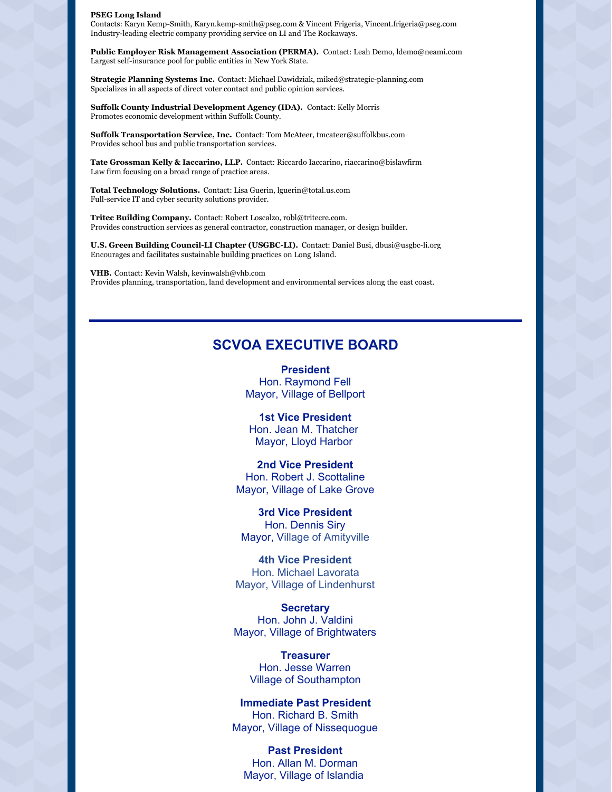#### **PSEG Long Island**

Contacts: Karyn Kemp-Smith, Karyn.kemp-smith@pseg.com & Vincent Frigeria, Vincent.frigeria@pseg.com Industry-leading electric company providing service on LI and The Rockaways.

**Public Employer Risk Management Association (PERMA).** Contact: Leah Demo, ldemo@neami.com Largest self-insurance pool for public entities in New York State.

**Strategic Planning Systems Inc.** Contact: Michael Dawidziak, miked@strategic-planning.com Specializes in all aspects of direct voter contact and public opinion services.

**Suffolk County Industrial Development Agency (IDA).** Contact: Kelly Morris Promotes economic development within Suffolk County.

**Suffolk Transportation Service, Inc.** Contact: Tom McAteer, tmcateer@suffolkbus.com Provides school bus and public transportation services.

**Tate Grossman Kelly & Iaccarino, LLP.** Contact: Riccardo Iaccarino, riaccarino@bislawfirm Law firm focusing on a broad range of practice areas.

**Total Technology Solutions.** Contact: Lisa Guerin, lguerin@total.us.com Full-service IT and cyber security solutions provider.

**Tritec Building Company.** Contact: Robert Loscalzo, robl@tritecre.com. Provides construction services as general contractor, construction manager, or design builder.

**U.S. Green Building Council-LI Chapter (USGBC-LI).** Contact: Daniel Busi, dbusi@usgbc-li.org Encourages and facilitates sustainable building practices on Long Island.

**VHB.** Contact: Kevin Walsh, kevinwalsh@vhb.com Provides planning, transportation, land development and environmental services along the east coast.

### **SCVOA EXECUTIVE BOARD**

**President** Hon. Raymond Fell Mayor, Village of Bellport

**1st Vice President** Hon. Jean M. Thatcher Mayor, Lloyd Harbor

**2nd Vice President** Hon. Robert J. Scottaline Mayor, Village of Lake Grove

**3rd Vice President** Hon. Dennis Siry Mayor, Village of Amityville

**4th Vice President** Hon. Michael Lavorata Mayor, Village of Lindenhurst

**Secretary** Hon. John J. Valdini Mayor, Village of Brightwaters

> **Treasurer** Hon. Jesse Warren Village of Southampton

**Immediate Past President** Hon. Richard B. Smith Mayor, Village of Nissequogue

**Past President** Hon. Allan M. Dorman Mayor, Village of Islandia